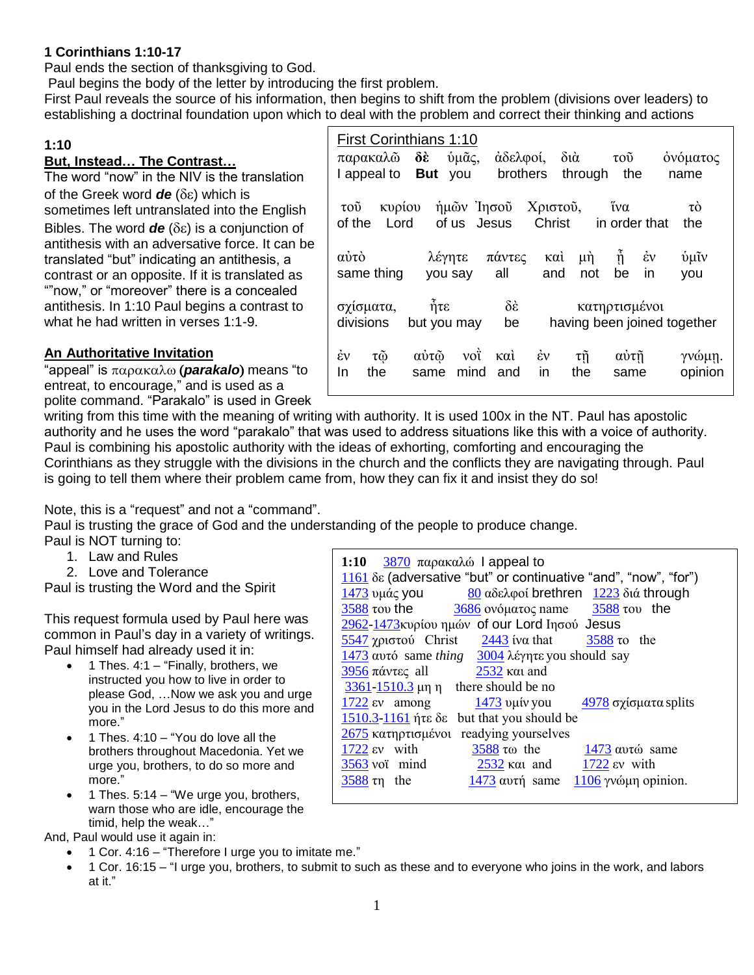### **1 Corinthians 1:10-17**

Paul ends the section of thanksgiving to God.

Paul begins the body of the letter by introducing the first problem.

First Paul reveals the source of his information, then begins to shift from the problem (divisions over leaders) to establishing a doctrinal foundation upon which to deal with the problem and correct their thinking and actions

 $\Gamma$ 

### **1:10**

#### **But, Instead… The Contrast…**

The word "now" in the NIV is the translation of the Greek word  $de$  ( $\delta$ ε) which is sometimes left untranslated into the English Bibles. The word  $de(\delta \varepsilon)$  is a conjunction of antithesis with an adversative force. It can be translated "but" indicating an antithesis, a contrast or an opposite. If it is translated as ""now," or "moreover" there is a concealed antithesis. In 1:10 Paul begins a contrast to what he had written in verses 1:1-9.

### **An Authoritative Invitation**

"appeal" is παρακαλω (**parakalo**) means "to entreat, to encourage," and is used as a polite command. "Parakalo" is used in Greek

|                                                                                                                                     | <b>First Corinthians 1:10</b> |                               |                                       |                                            |                             |
|-------------------------------------------------------------------------------------------------------------------------------------|-------------------------------|-------------------------------|---------------------------------------|--------------------------------------------|-----------------------------|
|                                                                                                                                     | παρακαλώ δε ύμας,             | άδελφοί, διὰ                  |                                       | τοῦ                                        | ονόματος                    |
|                                                                                                                                     | l appeal to <b>But</b> you    | brothers                      | through the                           |                                            | name                        |
| ήμῶν Ἰησοῦ Χριστοῦ, ἵνα<br>κυρίου<br>τò<br>$\tau$ o <sub>U</sub><br>Christ<br>of us Jesus<br>Lord<br>in order that<br>of the<br>the |                               |                               |                                       |                                            |                             |
| αύτὸ<br>same thing                                                                                                                  | λέγητε<br>you say             | πάντες<br>all                 | καὶ<br>μή $\frac{1}{2}$<br>and<br>not | $\hat{\eta}$ $\dot{\epsilon}v$<br>be<br>in | ύμιν<br>you                 |
| σχίσματα, ήτε<br>divisions                                                                                                          | but you may                   | $\delta \hat{\epsilon}$<br>be |                                       | κατηρτισμένοι                              | having been joined together |
| $\dot{\varepsilon}$ v<br>$\tau\tilde{\omega}$<br>the<br>In                                                                          | αύτῷ<br>vot<br>mind<br>same   | καὶ ἐν<br>in<br>and           | $\tau$ ŋ<br>the                       | $\alpha\dot{\nu}\tau\tilde{\eta}$<br>same  | γνώμη.<br>opinion           |

writing from this time with the meaning of writing with authority. It is used 100x in the NT. Paul has apostolic authority and he uses the word "parakalo" that was used to address situations like this with a voice of authority. Paul is combining his apostolic authority with the ideas of exhorting, comforting and encouraging the Corinthians as they struggle with the divisions in the church and the conflicts they are navigating through. Paul is going to tell them where their problem came from, how they can fix it and insist they do so!

Note, this is a "request" and not a "command".

Paul is trusting the grace of God and the understanding of the people to produce change.

- Paul is NOT turning to:
	- 1. Law and Rules
	- 2. Love and Tolerance

Paul is trusting the Word and the Spirit

This request formula used by Paul here was common in Paul's day in a variety of writings. Paul himself had already used it in:

- 1 Thes. 4:1 "Finally, brothers, we instructed you how to live in order to please God, …Now we ask you and urge you in the Lord Jesus to do this more and more."
- 1 Thes. 4:10 "You do love all the brothers throughout Macedonia. Yet we urge you, brothers, to do so more and more."
- 1 Thes. 5:14 "We urge you, brothers, warn those who are idle, encourage the timid, help the weak…"

And, Paul would use it again in:

- 1 Cor. 4:16 "Therefore I urge you to imitate me."
- 1 Cor. 16:15 "I urge you, brothers, to submit to such as these and to everyone who joins in the work, and labors at it."

| 1:10 $3870 \pi \alpha \rho \alpha \kappa \alpha \lambda \omega$ appeal to              |  |  |  |  |  |  |
|----------------------------------------------------------------------------------------|--|--|--|--|--|--|
| 1161 δε (adversative "but" or continuative "and", "now", "for")                        |  |  |  |  |  |  |
| 80 αδελφοί brethren 1223 διά through<br><u>1473</u> υμάς <b>you</b>                    |  |  |  |  |  |  |
| $\frac{3588}{100}$ του the $\frac{3686}{100}$ ονόματος name $\frac{3588}{100}$ του the |  |  |  |  |  |  |
| 2962-1473 κυρίου ημών of our Lord Ιησού Jesus                                          |  |  |  |  |  |  |
| 5547 $\gamma$ <sup>o</sup> Christ 2443 iva that 3588 to the                            |  |  |  |  |  |  |
| $\frac{1473}{2}$ αυτό same thing $\frac{3004}{2}$ λέγητε you should say                |  |  |  |  |  |  |
| $\frac{3956}{2532}$ και and                                                            |  |  |  |  |  |  |
| $\frac{3361-1510.3}{2}$ µn n there should be no                                        |  |  |  |  |  |  |
| $\frac{1722}{2}$ sv among $\frac{1473}{2}$ vutv you<br>$4978$ σχίσματα splits          |  |  |  |  |  |  |
| but that you should be<br>$1510.3 - 1161$ ήτε δε                                       |  |  |  |  |  |  |
| readying yourselves<br>2675 κατηρτισμένοι                                              |  |  |  |  |  |  |
| $1722$ $\text{ev}$ with<br>$3588 \text{ to }$ the<br>$1473 \omega \tau \omega$ same    |  |  |  |  |  |  |
| $\frac{1722}{2}$ ev with<br>$3563$ voi mind                                            |  |  |  |  |  |  |
| 1473 αυτή same 1106 γνώμη opinion.<br>$3588 \text{ m}$ the                             |  |  |  |  |  |  |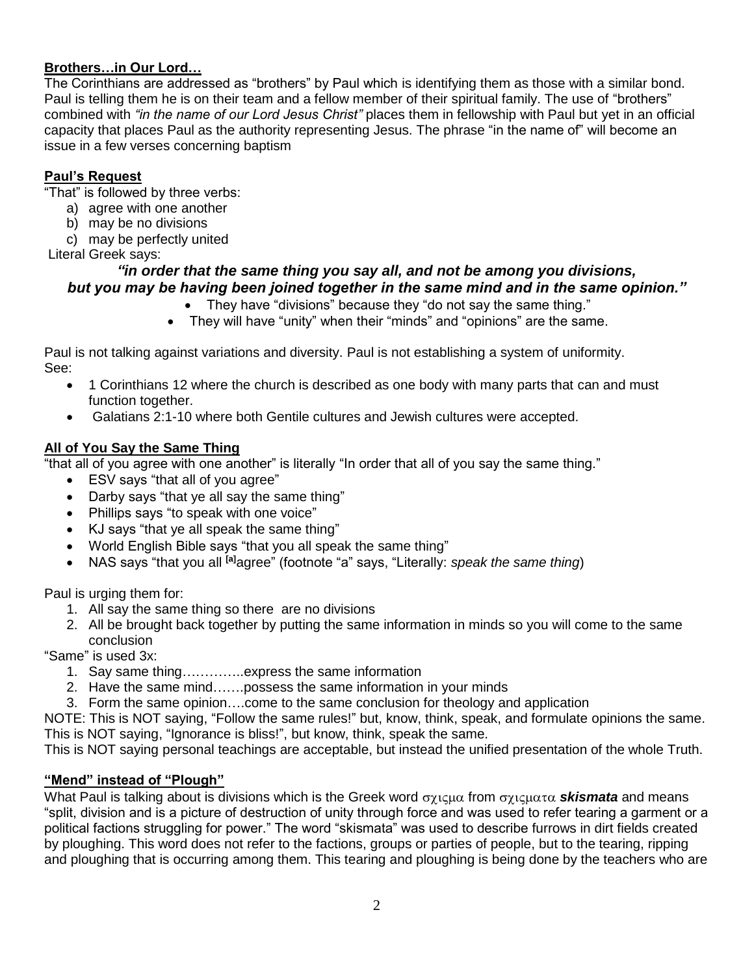### **Brothers…in Our Lord…**

The Corinthians are addressed as "brothers" by Paul which is identifying them as those with a similar bond. Paul is telling them he is on their team and a fellow member of their spiritual family. The use of "brothers" combined with *"in the name of our Lord Jesus Christ"* places them in fellowship with Paul but yet in an official capacity that places Paul as the authority representing Jesus. The phrase "in the name of" will become an issue in a few verses concerning baptism

#### **Paul's Request**

"That" is followed by three verbs:

- a) agree with one another
- b) may be no divisions
- c) may be perfectly united

Literal Greek says:

#### *"in order that the same thing you say all, and not be among you divisions, but you may be having been joined together in the same mind and in the same opinion."*

- They have "divisions" because they "do not say the same thing."
- They will have "unity" when their "minds" and "opinions" are the same.

Paul is not talking against variations and diversity. Paul is not establishing a system of uniformity. See:

- 1 Corinthians 12 where the church is described as one body with many parts that can and must function together.
- Galatians 2:1-10 where both Gentile cultures and Jewish cultures were accepted.

#### **All of You Say the Same Thing**

"that all of you agree with one another" is literally "In order that all of you say the same thing."

- ESV says "that all of you agree"
- Darby says "that ye all say the same thing"
- Phillips says "to speak with one voice"
- KJ says "that ye all speak the same thing"
- World English Bible says "that you all speak the same thing"
- NAS says "that you all **[a]**agree" (footnote "a" says, "Literally: *speak the same thing*)

Paul is urging them for:

- 1. All say the same thing so there are no divisions
- 2. All be brought back together by putting the same information in minds so you will come to the same conclusion

"Same" is used 3x:

- 1. Say same thing…………..express the same information
- 2. Have the same mind…….possess the same information in your minds
- 3. Form the same opinion….come to the same conclusion for theology and application

NOTE: This is NOT saying, "Follow the same rules!" but, know, think, speak, and formulate opinions the same. This is NOT saying, "Ignorance is bliss!", but know, think, speak the same.

This is NOT saying personal teachings are acceptable, but instead the unified presentation of the whole Truth.

#### **"Mend" instead of "Plough"**

What Paul is talking about is divisions which is the Greek word σχιςμα from σχιςματα **skismata** and means "split, division and is a picture of destruction of unity through force and was used to refer tearing a garment or a political factions struggling for power." The word "skismata" was used to describe furrows in dirt fields created by ploughing. This word does not refer to the factions, groups or parties of people, but to the tearing, ripping and ploughing that is occurring among them. This tearing and ploughing is being done by the teachers who are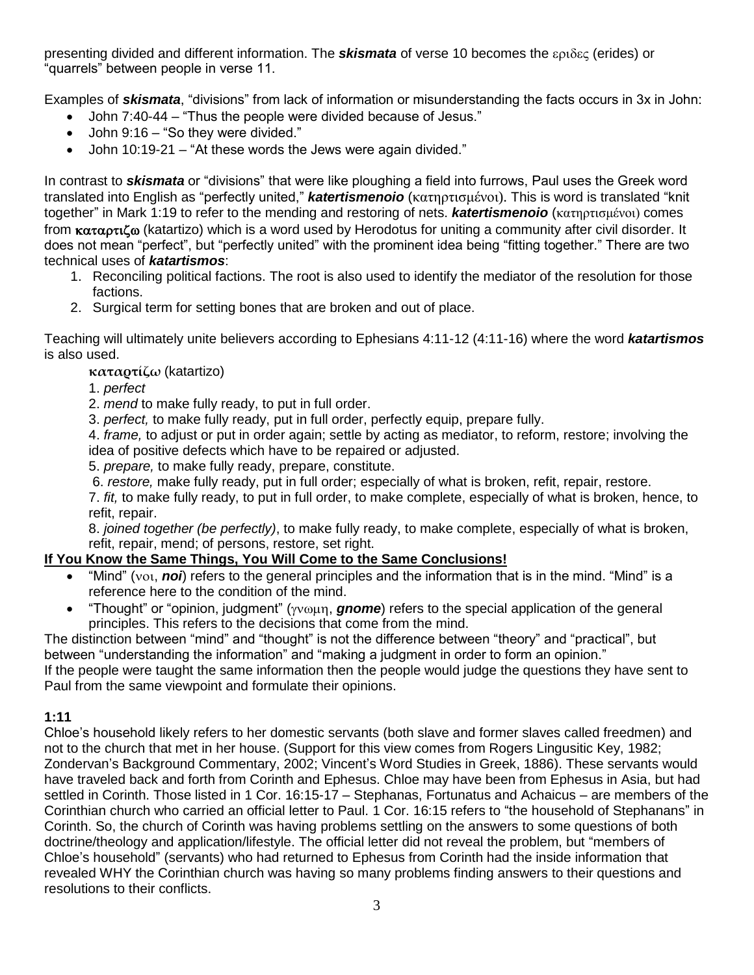presenting divided and different information. The *skismata* of verse 10 becomes the εριδες (erides) or "quarrels" between people in verse 11.

Examples of *skismata*, "divisions" from lack of information or misunderstanding the facts occurs in 3x in John:

- John 7:40-44 "Thus the people were divided because of Jesus."
- John 9:16 "So they were divided."
- John 10:19-21 "At these words the Jews were again divided."

In contrast to *skismata* or "divisions" that were like ploughing a field into furrows, Paul uses the Greek word translated into English as "perfectly united," *katertismenoio* (κατηρτισμένοι). This is word is translated "knit together" in Mark 1:19 to refer to the mending and restoring of nets. *katertismenoio* (κατηρτισμένοι) comes from  $\kappa \alpha \alpha \rho \tau \alpha \delta \omega$  (katartizo) which is a word used by Herodotus for uniting a community after civil disorder. It does not mean "perfect", but "perfectly united" with the prominent idea being "fitting together." There are two technical uses of *katartismos*:

- 1. Reconciling political factions. The root is also used to identify the mediator of the resolution for those factions.
- 2. Surgical term for setting bones that are broken and out of place.

Teaching will ultimately unite believers according to Ephesians 4:11-12 (4:11-16) where the word *katartismos* is also used.

### **καταρτίζω** (katartizo)

- 1. *perfect*
- 2. *mend* to make fully ready, to put in full order.
- 3. *perfect,* to make fully ready, put in full order, perfectly equip, prepare fully.

4. *frame,* to adjust or put in order again; settle by acting as mediator, to reform, restore; involving the idea of positive defects which have to be repaired or adjusted.

- 5. *prepare,* to make fully ready, prepare, constitute.
- 6. *restore,* make fully ready, put in full order; especially of what is broken, refit, repair, restore.

7. *fit,* to make fully ready, to put in full order, to make complete, especially of what is broken, hence, to refit, repair.

8. *joined together (be perfectly)*, to make fully ready, to make complete, especially of what is broken, refit, repair, mend; of persons, restore, set right.

# **If You Know the Same Things, You Will Come to the Same Conclusions!**

- "Mind" (you, **noi**) refers to the general principles and the information that is in the mind. "Mind" is a reference here to the condition of the mind.
- "Thought" or "opinion, judgment" (γνωμη, **gnome**) refers to the special application of the general principles. This refers to the decisions that come from the mind.

The distinction between "mind" and "thought" is not the difference between "theory" and "practical", but between "understanding the information" and "making a judgment in order to form an opinion." If the people were taught the same information then the people would judge the questions they have sent to Paul from the same viewpoint and formulate their opinions.

### **1:11**

Chloe's household likely refers to her domestic servants (both slave and former slaves called freedmen) and not to the church that met in her house. (Support for this view comes from Rogers Lingusitic Key, 1982; Zondervan's Background Commentary, 2002; Vincent's Word Studies in Greek, 1886). These servants would have traveled back and forth from Corinth and Ephesus. Chloe may have been from Ephesus in Asia, but had settled in Corinth. Those listed in 1 Cor. 16:15-17 – Stephanas, Fortunatus and Achaicus – are members of the Corinthian church who carried an official letter to Paul. 1 Cor. 16:15 refers to "the household of Stephanans" in Corinth. So, the church of Corinth was having problems settling on the answers to some questions of both doctrine/theology and application/lifestyle. The official letter did not reveal the problem, but "members of Chloe's household" (servants) who had returned to Ephesus from Corinth had the inside information that revealed WHY the Corinthian church was having so many problems finding answers to their questions and resolutions to their conflicts.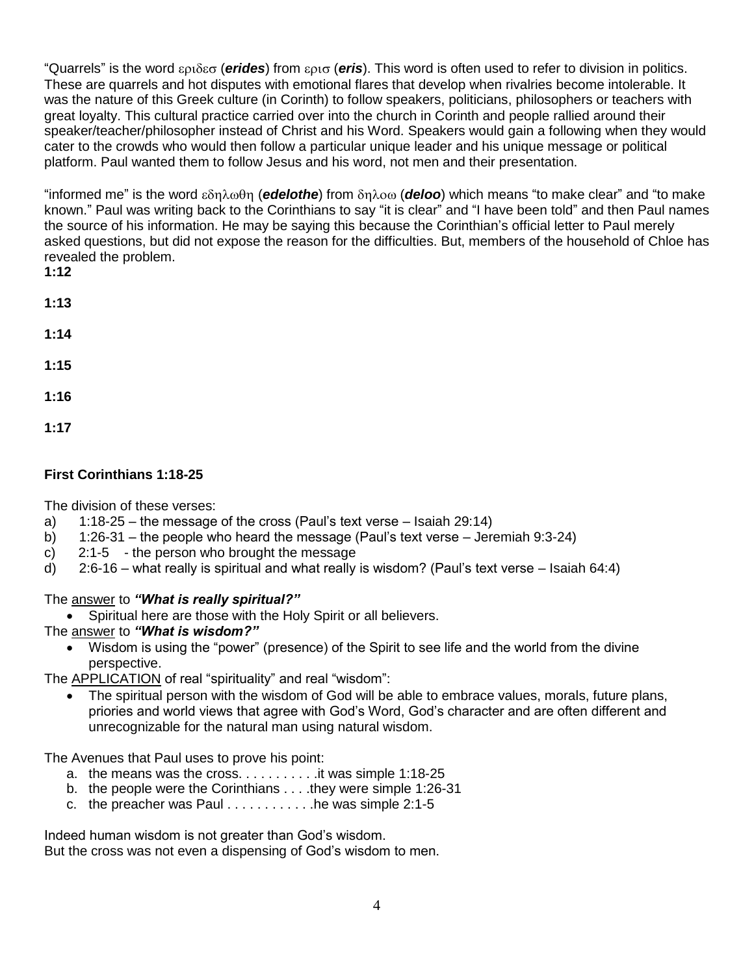"Quarrels" is the word εριδεσ (**erides**) from ερισ (**eris**). This word is often used to refer to division in politics. These are quarrels and hot disputes with emotional flares that develop when rivalries become intolerable. It was the nature of this Greek culture (in Corinth) to follow speakers, politicians, philosophers or teachers with great loyalty. This cultural practice carried over into the church in Corinth and people rallied around their speaker/teacher/philosopher instead of Christ and his Word. Speakers would gain a following when they would cater to the crowds who would then follow a particular unique leader and his unique message or political platform. Paul wanted them to follow Jesus and his word, not men and their presentation.

<u>"informed me" is the word εδηλωθη</u> (edelothe) from δηλοω (deloo) which means "to make clear" and "to make known." Paul was writing back to the Corinthians to say "it is clear" and "I have been told" and then Paul names the source of his information. He may be saying this because the Corinthian's official letter to Paul merely asked questions, but did not expose the reason for the difficulties. But, members of the household of Chloe has revealed the problem.

**1:12**

- **1:13**
- **1:14**
- **1:15**
- **1:16**
- 
- **1:17**

# **First Corinthians 1:18-25**

The division of these verses:

- a) 1:18-25 the message of the cross (Paul's text verse Isaiah 29:14)
- b) 1:26-31 the people who heard the message (Paul's text verse Jeremiah 9:3-24)
- c) 2:1-5 the person who brought the message
- d) 2:6-16 what really is spiritual and what really is wisdom? (Paul's text verse Isaiah 64:4)

### The answer to *"What is really spiritual?"*

• Spiritual here are those with the Holy Spirit or all believers.

The answer to *"What is wisdom?"*

 Wisdom is using the "power" (presence) of the Spirit to see life and the world from the divine perspective.

The APPLICATION of real "spirituality" and real "wisdom":

 The spiritual person with the wisdom of God will be able to embrace values, morals, future plans, priories and world views that agree with God's Word, God's character and are often different and unrecognizable for the natural man using natural wisdom.

The Avenues that Paul uses to prove his point:

- a. the means was the cross.  $\dots \dots \dots$  it was simple 1:18-25
- b. the people were the Corinthians . . . .they were simple 1:26-31
- c. the preacher was Paul  $\dots \dots \dots$  he was simple 2:1-5

Indeed human wisdom is not greater than God's wisdom. But the cross was not even a dispensing of God's wisdom to men.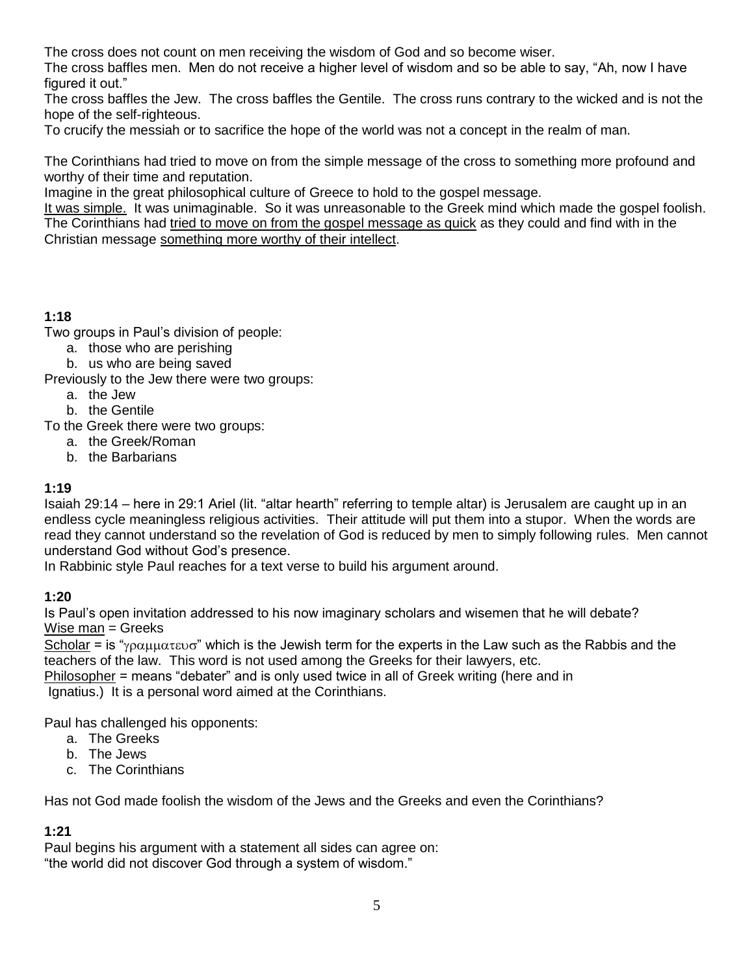The cross does not count on men receiving the wisdom of God and so become wiser.

The cross baffles men. Men do not receive a higher level of wisdom and so be able to say, "Ah, now I have figured it out."

The cross baffles the Jew. The cross baffles the Gentile. The cross runs contrary to the wicked and is not the hope of the self-righteous.

To crucify the messiah or to sacrifice the hope of the world was not a concept in the realm of man.

The Corinthians had tried to move on from the simple message of the cross to something more profound and worthy of their time and reputation.

Imagine in the great philosophical culture of Greece to hold to the gospel message.

It was simple. It was unimaginable. So it was unreasonable to the Greek mind which made the gospel foolish. The Corinthians had tried to move on from the gospel message as quick as they could and find with in the Christian message something more worthy of their intellect.

## **1:18**

Two groups in Paul's division of people:

- a. those who are perishing
- b. us who are being saved

Previously to the Jew there were two groups:

- a. the Jew
- b. the Gentile
- To the Greek there were two groups:
	- a. the Greek/Roman
	- b. the Barbarians

### **1:19**

Isaiah 29:14 – here in 29:1 Ariel (lit. "altar hearth" referring to temple altar) is Jerusalem are caught up in an endless cycle meaningless religious activities. Their attitude will put them into a stupor. When the words are read they cannot understand so the revelation of God is reduced by men to simply following rules. Men cannot understand God without God's presence.

In Rabbinic style Paul reaches for a text verse to build his argument around.

### **1:20**

Is Paul's open invitation addressed to his now imaginary scholars and wisemen that he will debate? Wise man = Greeks

Scholar = is " $\gamma \rho \alpha \mu \mu \alpha \tau \epsilon$  which is the Jewish term for the experts in the Law such as the Rabbis and the teachers of the law. This word is not used among the Greeks for their lawyers, etc.

Philosopher = means "debater" and is only used twice in all of Greek writing (here and in Ignatius.) It is a personal word aimed at the Corinthians.

Paul has challenged his opponents:

- a. The Greeks
- b. The Jews
- c. The Corinthians

Has not God made foolish the wisdom of the Jews and the Greeks and even the Corinthians?

### **1:21**

Paul begins his argument with a statement all sides can agree on: "the world did not discover God through a system of wisdom."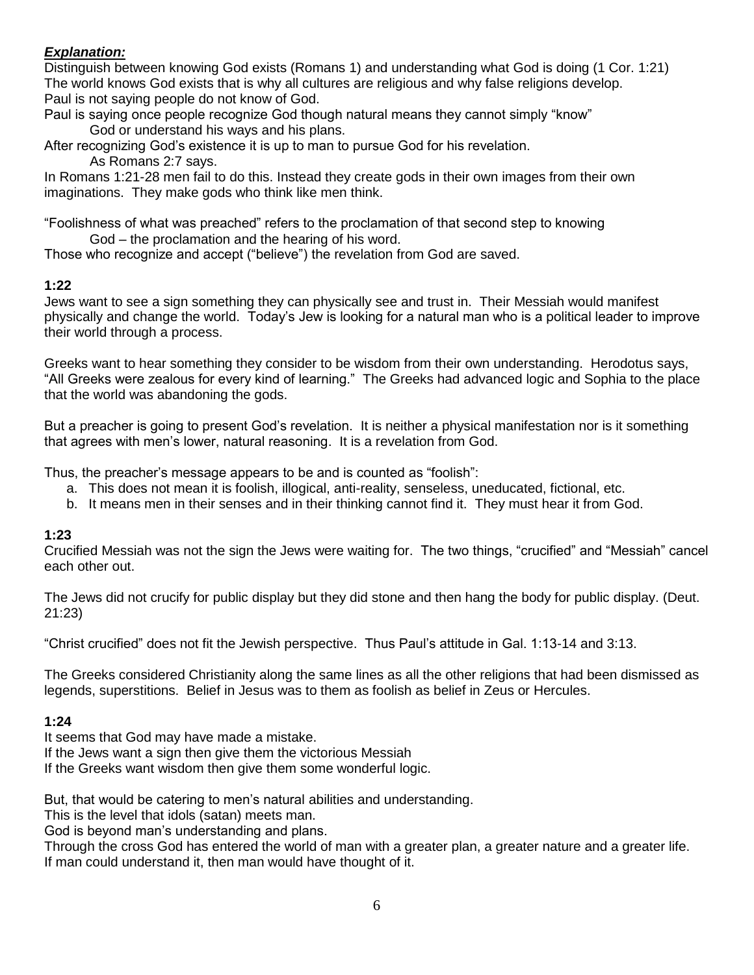### *Explanation:*

Distinguish between knowing God exists (Romans 1) and understanding what God is doing (1 Cor. 1:21) The world knows God exists that is why all cultures are religious and why false religions develop. Paul is not saying people do not know of God.

Paul is saying once people recognize God though natural means they cannot simply "know" God or understand his ways and his plans.

After recognizing God's existence it is up to man to pursue God for his revelation.

As Romans 2:7 says.

In Romans 1:21-28 men fail to do this. Instead they create gods in their own images from their own imaginations. They make gods who think like men think.

"Foolishness of what was preached" refers to the proclamation of that second step to knowing God – the proclamation and the hearing of his word.

Those who recognize and accept ("believe") the revelation from God are saved.

### **1:22**

Jews want to see a sign something they can physically see and trust in. Their Messiah would manifest physically and change the world. Today's Jew is looking for a natural man who is a political leader to improve their world through a process.

Greeks want to hear something they consider to be wisdom from their own understanding. Herodotus says, "All Greeks were zealous for every kind of learning." The Greeks had advanced logic and Sophia to the place that the world was abandoning the gods.

But a preacher is going to present God's revelation. It is neither a physical manifestation nor is it something that agrees with men's lower, natural reasoning. It is a revelation from God.

Thus, the preacher's message appears to be and is counted as "foolish":

- a. This does not mean it is foolish, illogical, anti-reality, senseless, uneducated, fictional, etc.
- b. It means men in their senses and in their thinking cannot find it. They must hear it from God.

#### **1:23**

Crucified Messiah was not the sign the Jews were waiting for. The two things, "crucified" and "Messiah" cancel each other out.

The Jews did not crucify for public display but they did stone and then hang the body for public display. (Deut. 21:23)

"Christ crucified" does not fit the Jewish perspective. Thus Paul's attitude in Gal. 1:13-14 and 3:13.

The Greeks considered Christianity along the same lines as all the other religions that had been dismissed as legends, superstitions. Belief in Jesus was to them as foolish as belief in Zeus or Hercules.

#### **1:24**

It seems that God may have made a mistake.

If the Jews want a sign then give them the victorious Messiah

If the Greeks want wisdom then give them some wonderful logic.

But, that would be catering to men's natural abilities and understanding.

This is the level that idols (satan) meets man.

God is beyond man's understanding and plans.

Through the cross God has entered the world of man with a greater plan, a greater nature and a greater life. If man could understand it, then man would have thought of it.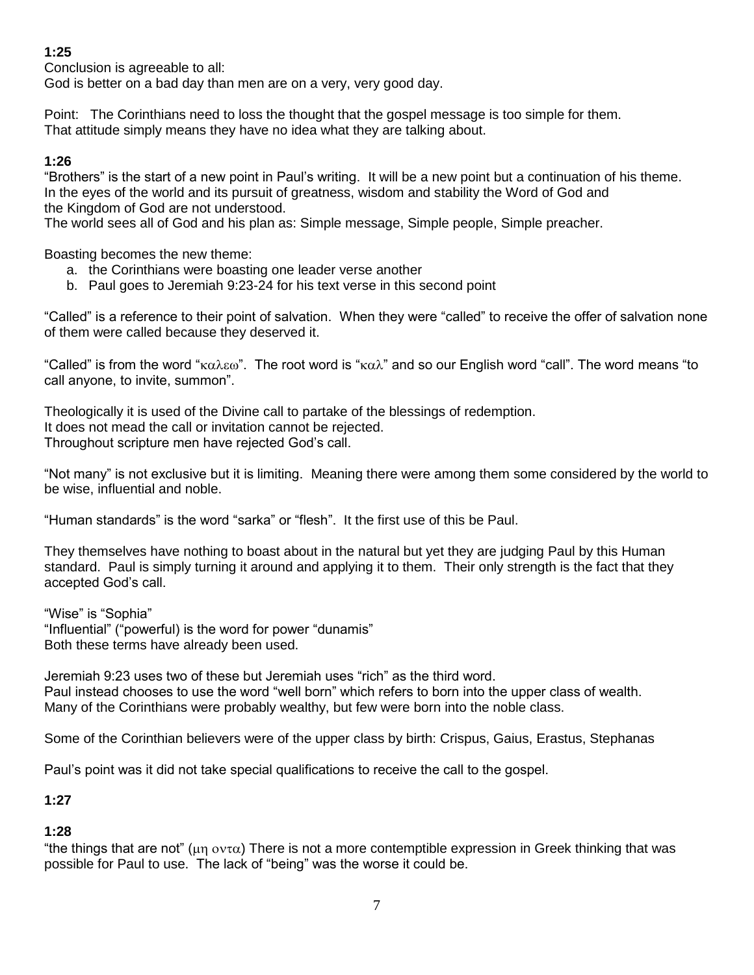## **1:25**

Conclusion is agreeable to all:

God is better on a bad day than men are on a very, very good day.

Point: The Corinthians need to loss the thought that the gospel message is too simple for them. That attitude simply means they have no idea what they are talking about.

#### **1:26**

"Brothers" is the start of a new point in Paul's writing. It will be a new point but a continuation of his theme. In the eyes of the world and its pursuit of greatness, wisdom and stability the Word of God and the Kingdom of God are not understood.

The world sees all of God and his plan as: Simple message, Simple people, Simple preacher.

Boasting becomes the new theme:

- a. the Corinthians were boasting one leader verse another
- b. Paul goes to Jeremiah 9:23-24 for his text verse in this second point

"Called" is a reference to their point of salvation. When they were "called" to receive the offer of salvation none of them were called because they deserved it.

"Called" is from the word " $\kappa\alpha\lambda\epsilon\omega$ ". The root word is " $\kappa\alpha\lambda$ " and so our English word "call". The word means "to call anyone, to invite, summon".

Theologically it is used of the Divine call to partake of the blessings of redemption. It does not mead the call or invitation cannot be rejected. Throughout scripture men have rejected God's call.

"Not many" is not exclusive but it is limiting. Meaning there were among them some considered by the world to be wise, influential and noble.

"Human standards" is the word "sarka" or "flesh". It the first use of this be Paul.

They themselves have nothing to boast about in the natural but yet they are judging Paul by this Human standard. Paul is simply turning it around and applying it to them. Their only strength is the fact that they accepted God's call.

"Wise" is "Sophia" "Influential" ("powerful) is the word for power "dunamis" Both these terms have already been used.

Jeremiah 9:23 uses two of these but Jeremiah uses "rich" as the third word. Paul instead chooses to use the word "well born" which refers to born into the upper class of wealth. Many of the Corinthians were probably wealthy, but few were born into the noble class.

Some of the Corinthian believers were of the upper class by birth: Crispus, Gaius, Erastus, Stephanas

Paul's point was it did not take special qualifications to receive the call to the gospel.

**1:27**

#### **1:28**

"the things that are not" ( $\mu$ η οντα) There is not a more contemptible expression in Greek thinking that was possible for Paul to use. The lack of "being" was the worse it could be.